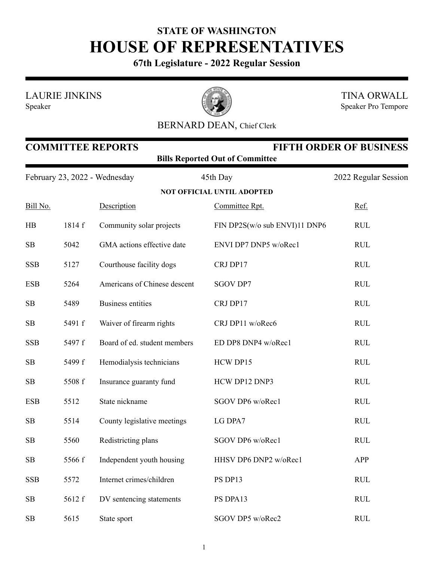## **STATE OF WASHINGTON HOUSE OF REPRESENTATIVES**

**67th Legislature - 2022 Regular Session**

LAURIE JINKINS

Speaker



TINA ORWALL Speaker Pro Tempore

## BERNARD DEAN, Chief Clerk

| <b>COMMITTEE REPORTS</b><br><b>FIFTH ORDER OF BUSINESS</b><br><b>Bills Reported Out of Committee</b> |        |                              |                                   |                      |  |  |
|------------------------------------------------------------------------------------------------------|--------|------------------------------|-----------------------------------|----------------------|--|--|
| February 23, 2022 - Wednesday                                                                        |        |                              | 45th Day                          | 2022 Regular Session |  |  |
|                                                                                                      |        |                              | <b>NOT OFFICIAL UNTIL ADOPTED</b> |                      |  |  |
| Bill No.                                                                                             |        | Description                  | Committee Rpt.                    | Ref.                 |  |  |
| HB                                                                                                   | 1814 f | Community solar projects     | FIN DP2S(w/o sub ENVI)11 DNP6     | <b>RUL</b>           |  |  |
| SB                                                                                                   | 5042   | GMA actions effective date   | ENVI DP7 DNP5 w/oRec1             | <b>RUL</b>           |  |  |
| <b>SSB</b>                                                                                           | 5127   | Courthouse facility dogs     | CRJ DP17                          | <b>RUL</b>           |  |  |
| <b>ESB</b>                                                                                           | 5264   | Americans of Chinese descent | <b>SGOV DP7</b>                   | <b>RUL</b>           |  |  |
| SB                                                                                                   | 5489   | <b>Business entities</b>     | CRJ DP17                          | <b>RUL</b>           |  |  |
| SB                                                                                                   | 5491 f | Waiver of firearm rights     | CRJ DP11 w/oRec6                  | <b>RUL</b>           |  |  |
| <b>SSB</b>                                                                                           | 5497 f | Board of ed. student members | ED DP8 DNP4 w/oRec1               | <b>RUL</b>           |  |  |
| SB                                                                                                   | 5499 f | Hemodialysis technicians     | HCW DP15                          | <b>RUL</b>           |  |  |
| SB                                                                                                   | 5508 f | Insurance guaranty fund      | HCW DP12 DNP3                     | <b>RUL</b>           |  |  |
| <b>ESB</b>                                                                                           | 5512   | State nickname               | SGOV DP6 w/oRec1                  | <b>RUL</b>           |  |  |
| SB                                                                                                   | 5514   | County legislative meetings  | LG DPA7                           | <b>RUL</b>           |  |  |
| SB                                                                                                   | 5560   | Redistricting plans          | SGOV DP6 w/oRec1                  | <b>RUL</b>           |  |  |
| SB                                                                                                   | 5566 f | Independent youth housing    | HHSV DP6 DNP2 w/oRec1             | APP                  |  |  |
| <b>SSB</b>                                                                                           | 5572   | Internet crimes/children     | PS DP13                           | <b>RUL</b>           |  |  |
| SB                                                                                                   | 5612 f | DV sentencing statements     | PS DPA13                          | <b>RUL</b>           |  |  |
| SB                                                                                                   | 5615   | State sport                  | SGOV DP5 w/oRec2                  | <b>RUL</b>           |  |  |